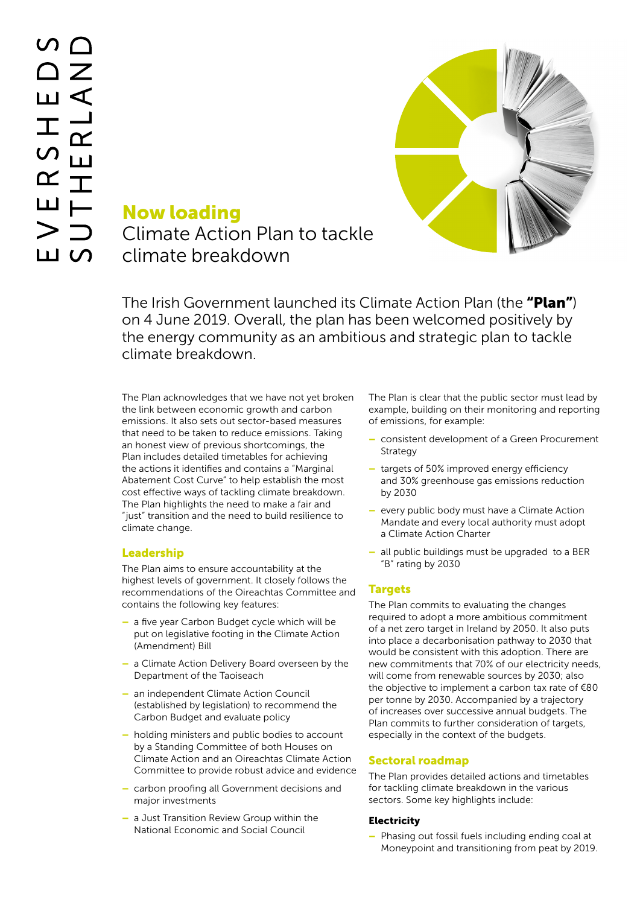

# Now loading Climate Action Plan to tackle climate breakdown

The Irish Government launched its Climate Action Plan (the "**Plan"**) on 4 June 2019. Overall, the plan has been welcomed positively by the energy community as an ambitious and strategic plan to tackle climate breakdown.

The Plan acknowledges that we have not yet broken the link between economic growth and carbon emissions. It also sets out sector-based measures that need to be taken to reduce emissions. Taking an honest view of previous shortcomings, the Plan includes detailed timetables for achieving the actions it identifies and contains a "Marginal Abatement Cost Curve" to help establish the most cost effective ways of tackling climate breakdown. The Plan highlights the need to make a fair and "just" transition and the need to build resilience to climate change.

## Leadership

The Plan aims to ensure accountability at the highest levels of government. It closely follows the recommendations of the Oireachtas Committee and contains the following key features:

- a five year Carbon Budget cycle which will be put on legislative footing in the Climate Action (Amendment) Bill
- a Climate Action Delivery Board overseen by the Department of the Taoiseach
- an independent Climate Action Council (established by legislation) to recommend the Carbon Budget and evaluate policy
- holding ministers and public bodies to account by a Standing Committee of both Houses on Climate Action and an Oireachtas Climate Action Committee to provide robust advice and evidence
- carbon proofing all Government decisions and major investments
- a Just Transition Review Group within the National Economic and Social Council

The Plan is clear that the public sector must lead by example, building on their monitoring and reporting of emissions, for example:

- consistent development of a Green Procurement Strategy
- targets of 50% improved energy efficiency and 30% greenhouse gas emissions reduction by 2030
- every public body must have a Climate Action Mandate and every local authority must adopt a Climate Action Charter
- all public buildings must be upgraded to a BER "B" rating by 2030

## Targets

The Plan commits to evaluating the changes required to adopt a more ambitious commitment of a net zero target in Ireland by 2050. It also puts into place a decarbonisation pathway to 2030 that would be consistent with this adoption. There are new commitments that 70% of our electricity needs, will come from renewable sources by 2030; also the objective to implement a carbon tax rate of €80 per tonne by 2030. Accompanied by a trajectory of increases over successive annual budgets. The Plan commits to further consideration of targets, especially in the context of the budgets.

### Sectoral roadmap

The Plan provides detailed actions and timetables for tackling climate breakdown in the various sectors. Some key highlights include:

### **Electricity**

– Phasing out fossil fuels including ending coal at Moneypoint and transitioning from peat by 2019.